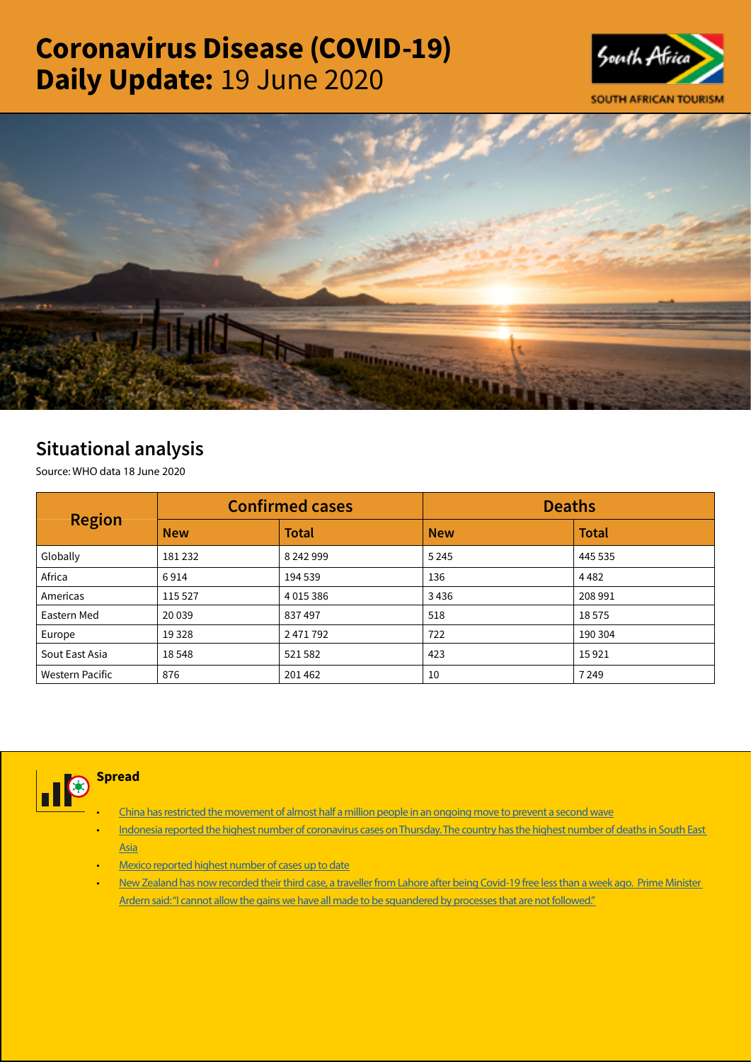# Coronavirus Disease (COVID-19) Daily Update: 19 June 2020





## Situational analysis

Source: WHO data 18 June 2020

| <b>Region</b>   |            | <b>Confirmed cases</b> | <b>Deaths</b> |              |  |
|-----------------|------------|------------------------|---------------|--------------|--|
|                 | <b>New</b> | <b>Total</b>           | <b>New</b>    | <b>Total</b> |  |
| Globally        | 181232     | 8 242 999              | 5 2 4 5       | 445 535      |  |
| Africa          | 6914       | 194 539                | 136           | 4482         |  |
| Americas        | 115 527    | 4 0 1 5 3 8 6          | 3436          | 208 991      |  |
| Eastern Med     | 20 039     | 837497                 | 518           | 18575        |  |
| Europe          | 19 3 28    | 2471792                | 722           | 190 304      |  |
| Sout East Asia  | 18548      | 521582                 | 423           | 15921        |  |
| Western Pacific | 876        | 201462                 | 10            | 7 2 4 9      |  |



**Spread** 

- [China has restricted the movement of almost half a million people in an ongoing move to prevent a second wave](https://t.co/tG5SITadaF?amp=1)
- [Indonesia reported the highest number of coronavirus cases on Thursday. The country has the highest number of deaths in South East](https://is.gd/7UWGNi)  [Asia](https://is.gd/7UWGNi)
- [Mexico reported highest number of cases up to date](https://t.co/QwpeQo2d7u?amp=1)
- [New Zealand has now recorded their third case, a traveller from Lahore after being Covid-19 free less than a week ago. Prime Minister](https://t.co/Gj0yYc122e?amp=1)  Ardern said: "I cannot allow the gains we have all made to be squandered by processes that are not followed."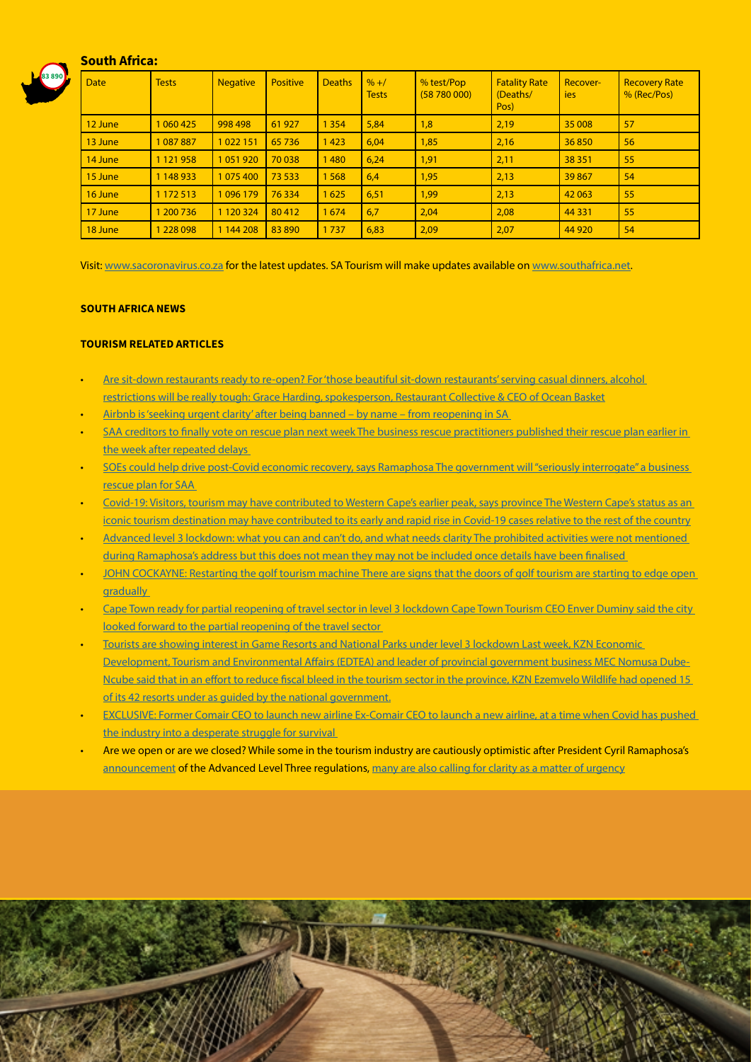#### South Africa:



| <b>Date</b> | <b>Tests</b>  | <b>Negative</b> | <b>Positive</b> | <b>Deaths</b> | $\frac{9}{6}$ +/<br><b>Tests</b> | % test/Pop<br>(58780000) | <b>Fatality Rate</b><br>(Deaths/<br>Pos) | Recover-<br><b>ies</b> | <b>Recovery Rate</b><br>% (Rec/Pos) |
|-------------|---------------|-----------------|-----------------|---------------|----------------------------------|--------------------------|------------------------------------------|------------------------|-------------------------------------|
| 12 June     | 1 060 425     | 998 498         | 61927           | 1 3 5 4       | 5,84                             | 1,8                      | 2,19                                     | 35 008                 | 57                                  |
| 13 June     | 1087887       | 1022151         | 65736           | 1423          | 6,04                             | 1,85                     | 2,16                                     | 36850                  | 56                                  |
| 14 June     | 1 1 2 1 9 5 8 | 1051920         | 70 038          | 1480          | 6,24                             | 1,91                     | 2,11                                     | 38 351                 | 55                                  |
| 15 June     | 1 148 933     | 1075400         | 73 533          | 1568          | 6,4                              | 1,95                     | 2,13                                     | 39867                  | 54                                  |
| 16 June     | 1 172 513     | 1096179         | 76334           | 1625          | 6,51                             | 1,99                     | 2,13                                     | 42 063                 | 55                                  |
| 17 June     | 1 200 7 36    | 1 1 2 0 3 2 4   | 80412           | 1674          | 6,7                              | 2,04                     | 2,08                                     | 44 3 31                | 55                                  |
| 18 June     | 1 228 098     | 1 144 208       | 83 890          | 1737          | 6,83                             | 2,09                     | 2,07                                     | 44 9 20                | 54                                  |

Visit: [www.sacoronavirus.co.za](http://www.sacoronavirus.co.za) for the latest updates. SA Tourism will make updates available on [www.southafrica.net.](http://www.southafrica.net)

#### SOUTH AFRICA NEWS

#### TOURISM RELATED ARTICLES

- [Are sit-down restaurants ready to re-open? For 'those beautiful sit-down restaurants' serving casual dinners, alcohol](https://www.moneyweb.co.za/moneyweb-radio/safm-market-update/are-sit-down-restaurants-ready-to-re-open/)  [restrictions will be really tough: Grace Harding, spokesperson, Restaurant Collective & CEO of Ocean Basket](https://www.moneyweb.co.za/moneyweb-radio/safm-market-update/are-sit-down-restaurants-ready-to-re-open/)
- [Airbnb is 'seeking urgent clarity' after being banned by name from reopening in SA](https://www.businessinsider.co.za/airbnb-wants-to-know-why-accommodation-may-open-but-it-cant-2020-6)
- SAA creditors to finally vote on rescue plan next week The business rescue practitioners published their rescue plan earlier in [the week after repeated delays](https://www.news24.com/fin24/companies/industrial/saa-creditors-to-finally-vote-on-rescue-plan-next-week-20200618)
- [SOEs could help drive post-Covid economic recovery, says Ramaphosa The government will "seriously interrogate" a business](https://www.news24.com/fin24/companies/industrial/saa-creditors-to-finally-vote-on-rescue-plan-next-week-20200618)  [rescue plan for SAA](https://www.news24.com/fin24/companies/industrial/saa-creditors-to-finally-vote-on-rescue-plan-next-week-20200618)
- [Covid-19: Visitors, tourism may have contributed to Western Cape's earlier peak, says province The Western Cape's status as an](https://www.news24.com/news24/SouthAfrica/News/covid-19-visitors-tourism-may-have-contributed-to-western-capes-earlier-peak-says-province-20200618)  [iconic tourism destination may have contributed to its early and rapid rise in Covid-19 cases relative to the rest of the country](https://www.news24.com/news24/SouthAfrica/News/covid-19-visitors-tourism-may-have-contributed-to-western-capes-earlier-peak-says-province-20200618)
- [Advanced level 3 lockdown: what you can and can't do, and what needs clarity The prohibited activities were not mentioned](https://www.timeslive.co.za/news/south-africa/2020-06-18-advanced-level-3-lockdown-what-you-can-and-cant-do-and-what-needs-clarity/)  [during Ramaphosa's address but this does not mean they may not be included once details have been finalised](https://www.timeslive.co.za/news/south-africa/2020-06-18-advanced-level-3-lockdown-what-you-can-and-cant-do-and-what-needs-clarity/)
- [JOHN COCKAYNE: Restarting the golf tourism machine There are signs that the doors of golf tourism are starting to edge open](https://www.businesslive.co.za/bd/opinion/columnists/2020-06-18-john-cockayne-restarting-the-golf-tourism-machine/)  aradually
- Cape Town ready for partial reopening of travel sector in level 3 lockdown Cape Town Tourism CEO Enver Duminy said the city looked forward to the partial reopening of the travel sector
- [Tourists are showing interest in Game Resorts and National Parks under level 3 lockdown Last week, KZN Economic](https://www.iol.co.za/business-report/economy/tourists-are-showing-interest-in-game-resorts-and-national-parks-under-level-3-lockdown-49553519)  [Development, Tourism and Environmental Affairs \(EDTEA\) and leader of provincial government business MEC Nomusa Dube-](https://www.iol.co.za/business-report/economy/tourists-are-showing-interest-in-game-resorts-and-national-parks-under-level-3-lockdown-49553519)[Ncube said that in an effort to reduce fiscal bleed in the tourism sector in the province, KZN Ezemvelo Wildlife had opened 15](https://www.iol.co.za/business-report/economy/tourists-are-showing-interest-in-game-resorts-and-national-parks-under-level-3-lockdown-49553519)  [of its 42 resorts under as guided by the national government.](https://www.iol.co.za/business-report/economy/tourists-are-showing-interest-in-game-resorts-and-national-parks-under-level-3-lockdown-49553519)
- [EXCLUSIVE: Former Comair CEO to launch new airline Ex-Comair CEO to launch a new airline, at a time when Covid has pushed](https://www.businesslive.co.za/fm/fm-fox/2020-06-18-exclusive-former-comair-ceo-to-launch-new-airline/)  the industry into a desperate struggle for survival
- Are we open or are we closed? While some in the tourism industry are cautiously optimistic after President Cyril Ramaphosa's [announcement](http://www.tourismupdate.co.za/article/199646/Phased-reopening-of-tourism-begins) of the Advanced Level Three regulations, [many are also calling for clarity as a matter of urgency](http://www.tourismupdate.co.za/article/199652/Are-we-open-or-are-we-closed)